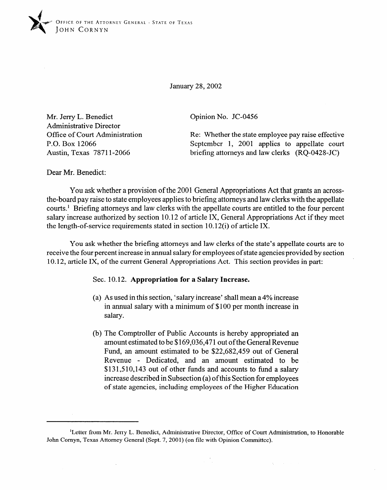

January 28,2002

Mr. Jerry L. Benedict Administrative Director Office of Court Administration P.O. Box 12066 Austin, Texas 7871 l-2066

Opinion No. JC-0456

Re: Whether the state employee pay raise effective September 1, 2001 applies to appellate court briefing attorneys and law clerks (RQ-0428-JC)

Dear Mr. Benedict:

You ask whether a provision of the 2001 General Appropriations Act that grants an across-<br>the-board pay raise to state employees applies to briefing attorneys and law clerks with the appellate courts.<sup>1</sup> Briefing attorneys and law clerks with the appellate courts are entitled to the four percent salary increase authorized by section 10.12 of article IX, General Appropriations Act if they meet salary increase authorized by section 10.12 of article IX, General Appropriations Act if they meet the length-of-service requirements stated in section 10.12(i) of article IX.

You ask whether the briefing attorneys and law clerks of the state's appellate courts are to receive the four percent increase in annual salary for employees of state agencies provided by section receive the four percent increase in annual salary for employees of state agencies provided by section. 10.12, article IX, of the current General Appropriations Act. This section provides in part:

## **Sec. 10.12. Appropriation for a Salary Increase.**

- (a) As used in this section, 'salary increase' shall mean a 4% increase<br>in annual salary with a minimum of \$100 per month increase in  $\sum_{i=1}^n$ salary.
- (b) The Comptroller of Public Accounts is hereby appropriated an amount estimated to be \$169,036,471 out of the General Revenue Fund, an amount estimated to be \$22,682,459 out of General Revenue - Dedicated, and an amount estimated to be  $$131,510,143$  out of other funds and accounts to fund a salary increase described in Subsection (a) of this Section for employees of state agencies, including employees of the Higher Education

<sup>&</sup>lt;sup>1</sup>Letter from Mr. Jerry L. Benedict, Administrative Director, Office of Court Administration, to Honorable John Cornyn, Texas Attorney General (Sept. 7, 2001) (on file with Opinion Committee).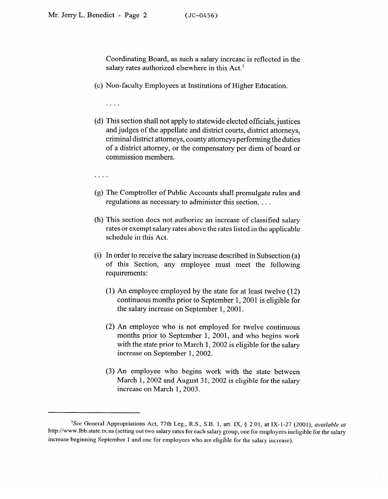Coordinating Board, as such a salary increase is reflected in the salary rates authorized elsewhere in this Act.<sup>2</sup>

(c) Non-faculty Employees at Institutions of Higher Education.

. . . .

(d) This section shall not apply to statewide elected officials, justices and judges of the appellate and district courts, district attorneys, criminal district attorneys, county attorneys performing the duties of a district attorney, or the compensatory per diem of board or commission members.

- (g) The Comptroller of Public Accounts shall promulgate rules and regulations as necessary to administer this section. . . .
- (h) This section does not authorize an increase of classified salary rates or exempt salary rates above the rates listed in the applicable schedule in this Act.
- (i) In order to receive the salary increase described in Subsection (a) of this Section, any employee must meet the following requirements:
	- (1) An employee employed by the state for at least twelve (12) continuous months prior to September 1, 2001 is eligible for the salary increase on September 1, 2001.  $\frac{1}{2}$
	- (2) An employee who is not employed for twelve continuous months prior to September 1, 2001, and who begins work with the state prior to March 1, 2002 is eligible for the salary increase on September 1, 2002. increase on September 1,2002.
	- (3) An employee who begins work with the state between March 1, 2002 and August 31, 2002 is eligible for the salary increase on March 1, 2003.

<sup>&</sup>lt;sup>2</sup>See General Appropriations Act, 77th Leg., R.S., S.B. 1, art. IX, § 2.01, at IX-1-27 (2001), available at http://www.lbb.state.tx.us (setting out two salary rates for each salary group, one for employees ineligible for the salary increase beginning September 1 and one for employees who are eligible for the salary increase).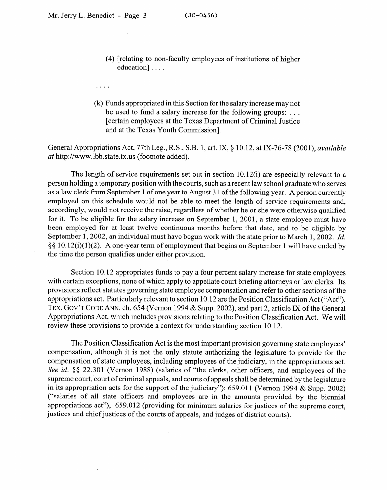. . . .

- (4) [relating to non-faculty employees of institutions of higher education] . . . .
- (k) Funds appropriated in this Section for the salary increase may not be used to fund a salary increase for the following groups: . . . [certain employees at the Texas Department of Criminal Justice

and at the Texas Youth Commission].

General Appropriations Act, 77th Leg., R.S., S.B. 1, art. IX, § 10.12, at IX-76-78 (2001), *available at* http://www.Ibb.state.tx.us (footnote added).

The length of service requirements set out in section 10.12(i) are especially relevant to a person holding a temporary position with the courts, such as a recent law school graduate who serves<br>as a law clerk from September 1 of one year to August 31 of the following year. A person currently as a law clerk from September 1 of one year to August 34 of the following year. A person currently employed on this schedule would not be able to meet the length of service requirements and, accordingly, would not receive the raise, regardless of whether he or she were otherwise qualified<br>for it. To be eligible for the salary increase on September 1, 2001, a state employee must have been employed for at least twelve continuous months before that date, and to be cligible by September 1, 2002, an individual must have begun work with the state prior to March 1, 2002. Id.  $S_{\rm c}$  10.12(3)(1)(2) an individual must have begun work with the state prior to March 1', 2002. *Id.*  $S_{\rm c}$  $\frac{5}{3}$  10.12(i)(1)(2). A cho jour term of employment that begins on September 1 will have ended by the time the person qualifies under either provision.

Section 10.12 appropriates funds to pay a four percent salary increase for state employees with certain exceptions, none of which apply to appellate court briefing attorneys or law clerks. Its provisions reflect statutes governing state employee compensation and refer to other sections of the appropriations act. Particularly relevant to section 10.12 are the Position Classification Act ("Act"). TEX. GOV'T CODE ANN. ch. 654 (Vernon 1994 & Supp. 2002), and part 2, article IX of the General Appropriations Act, which includes provisions relating to the Position Classification Act. We will review these provisions to provide a context for understanding section 10.12. review these provisions to provide a context for understanding section 10.12.

The Position Classification Act is the most important provision governing state employees' compensation, although it is not the only statute authorizing the legislature to provide for the compensation of state employees, including employees of the judiciary, in the appropriations act. See id.  $\S$ § 22.301 (Vernon 1988) (salaries of "the clerks, other officers, and employees of the supreme court, court of criminal appeals, and courts of appeals shall be determined by the legislature in its appropriation acts for the support of the judiciary"); 659.011 (Vernon 1994 & Supp. 2002) ("salaries of all state officers and employees are in the amounts provided by the biennial appropriations act"), 659.012 (providing for minimum salaries for justices of the supreme court, justices and chief justices of the courts of appeals, and judges of district courts).

 $\bar{\mathbf{v}}$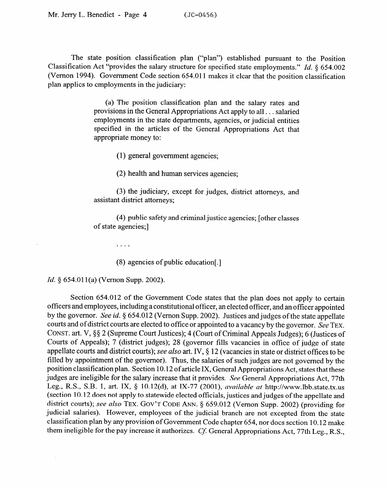The state position classification plan ("plan") established pursuant to the Position Classification Act "provides the salary structure for specified state employments." *Id. § 654.002*  (Vernon 1994). Government Code section 654.011 makes it clear that the position classification plan applies to employments in the judiciary:

> (a) The position classification plan and the salary rates and provisions in the General Appropriations Act apply to all . . . salaried employments in the state departments, agencies, or judicial entities specified in the articles of the General Appropriations Act that appropriate money to:

> > (1) general government agencies;

(2) health and human services agencies;

(3) the judiciary, except for judges, district attorneys, and assistant district attorneys;

(4) public safety and criminal justice agencies; [other classes of state agencies;]

(8) agencies of public education[ .]

*b* 654.01 **d** 

 $\sim$   $\sim$   $\sim$   $\sim$ 

Section 654.012 of the Government Code states that the plan does not apply to certain officers and employees, including a constitutional officer, an elected officer, and an officer appointed by the governor. See id.  $\S 654.012$  (Vernon Supp. 2002). Justices and judges of the state appellate courts and of district courts are elected to office or appointed to a vacancy by the governor. See TEX. CONST. art. V, §§ 2 (Supreme Court Justices); 4 (Court of Criminal Appeals Judges); 6 (Justices of Courts of Appeals); 7 (district judges); 28 (governor fills vacancies in office of judge of state appellate courts and district courts); *see also* art. IV,  $\S$  12 (vacancies in state or district offices to be filled by appointment of the governor). Thus, the salaries of such judges are not governed by the position classification plan. Section 10.12 of article IX, General Appropriations Act, states that these judges are ineligible for the salary increase that it provides. See General Appropriations Act, 77th Leg., R.S., S.B. 1, art. IX, § 10.12(d), at IX-77 (2001), available at http://www.lbb.state.tx.us (section 10.12 does not apply to statewide elected officials, justices and judges of the appellate and district courts); see also TEX. GOV'T CODE ANN. § 659.012 (Vernon Supp. 2002) (providing for judicial salaries). However, employees of the judicial branch are not excepted from the state classification plan by any provision of Government Code chapter 654, nor does section 10.12 make them ineligible for the pay increase it authorizes. Cf. General Appropriations Act, 77th Leg., R.S.,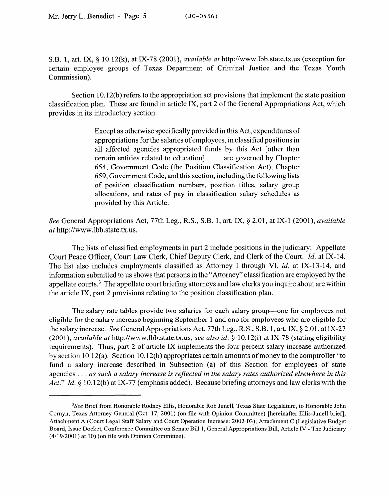S.B. 1, art. IX, 6 10.12(k), at IX-78 (2001), *available at* http://www.lbb.state.tx.us (exception for certain employee groups of Texas Department of Criminal Justice and the Texas Youth Commission).

Section 10.12(b) refers to the appropriation act provisions that implement the state position classification plan. These are found in article IX, part 2 of the General Appropriations Act, which provides in its introductory section:

> Except as otherwise specifically provided in this Act, expenditures of appropriations for the salaries of employees, in classified positions in all affected agencies appropriated funds by this Act [other than certain entities related to education] . . . , are governed by Chapter 654, Government Code (the Position Classification Act), Chapter 659, Government Code, and this section, including the following lists of position classification numbers, position titles, salary group allocations, and rates of pay in classification salary schedules as provided by this Article.

See General Appropriations Act, 77th Leg., R.S., S.B. 1, art. IX, § 2.01, at IX-1 (2001), available *at* http://www.lbb.state.tx.us.

The lists of classified employments in part 2 include positions in the judiciary: Appellate Court Peace Officer, Court Law Clerk, Chief Deputy Clerk, and Clerk of the Court. *Id.* at IX-14. The list also includes employments classified as Attorney I through VI, *id.* at IX-13-14, and information submitted to us shows that persons in the "Attorney" classification are employed by the appellate courts.<sup>3</sup> The appellate court briefing attorneys and law clerks you inquire about are within the article IX, part 2 provisions relating to the position classification plan.

The salary rate tables provide two salaries for each salary group—one for employees not eligible for the salary increase beginning September 1 and one for employees who are eligible for the salary increase. See General Appropriations Act, 77th Leg., R.S., S.B. 1, art. IX, § 2.01, at IX-27 (2001), *available at* http://www.lbb.state.tx.us; see also id. § 10.12(i) at IX-78 (stating eligibility requirements). Thus, part 2 of article IX implements the four percent salary increase authorized by section 10.12(a). Section 10.12(b) appropriates certain amounts of money to the comptroller "to fund a salary increase described in Subsection (a) of this Section for employees of state agencies . . . *as such a salary increase is reflected in the salary rates authorized elsewhere in this*  Act." Id. § 10.12(b) at IX-77 (emphasis added). Because briefing attorneys and law clerks with the

<sup>&</sup>lt;sup>3</sup>See Brief from Honorable Rodney Ellis, Honorable Rob Junell, Texas State Legislature, to Honorable John Cornyn, Texas Attorney General (Oct. 17, 2001) (on file with Opinion Committee) [hereinafter Ellis-Junell brief]; Attachment A (Court Legal Staff Salary and Court Operation Increase: 2002-03); Attachment C (Legislative Budget Board, Issue Docket, Conference Committee on Senate Bill 1, General Appropriations Bill, Article IV - The Judiciary (4/19/2001) at 10) (on file with Opinion Committee).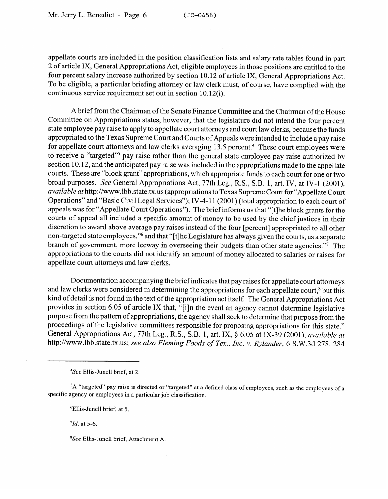appellate courts are included in the position classification lists and salary rate tables found in part 2 of article IX, General Appropriations Act, eligible employees in those positions are entitled to the four percent salary increase authorized by section 10.12 of article IX, General Appropriations Act. To be eligible, a particular briefing attorney or law clerk must, of course, have complied with the continuous service requirement set out in section 10.12(i).

A brief from the Chairman of the Senate Finance Committee and the Chairman of the House Committee on Appropriations states, however, that the legislature did not intend the four percent state employee pay raise to apply to appellate court attorneys and court law clerks, because the funds appropriated to the Texas Supreme Court and Courts of Appeals were intended to include a pay raise for appellate court attorneys and law clerks averaging 13.5 percent.<sup>4</sup> These court employees were to receive a "targeted"<sup>5</sup> pay raise rather than the general state employee pay raise authorized by to receive a "targeted" pay raise rather than the general state employee pay raise authorized by section 10.12, and the anticipated pay raise was included in the appropriations made to the appellate courts. These are "block grant" appropriations, which appropriate funds to each court for one or two<br>broad purposes. See General Appropriations Act, 77th Leg., R.S., S.B. 1, art. IV, at IV-1 (2001), available at http://www.lbb.state.tx.us (appropriations to Texas Supreme Court for "Appellate Court Operations" and "Basic Civil Legal Services"); IV-4-11 (2001) (total appropriation to each court of appeals was for "Appellate Court Operations"). The brief informs us that "[t]he block grants for the courts of appeal all included a specific amount of money to be used by the chief justices in their discretion to award above average pay raises instead of the four [percent] appropriated to all other non-targeted state employees,"<sup>6</sup> and that "[t]he Legislature has always given the courts, as a separate branch of government, more leeway in overseeing their budgets than other state agencies."<sup>7</sup> The  $\frac{1}{2}$  control of government, more leads to go versee in our state agencies. The control of the state agencies. The appropriate the court of the courts did not identify an amount of money allocated to salaries or raises for appellate court attorneys and law clerks.

Documentation accompanying the brief indicates that pay raises for appellate court attorneys and law clerks were considered in determining the appropriations for each appellate court,<sup>8</sup> but this kind of detail is not found in the text of the appropriation act itself. The General Appropriations Act provides in section 6.05 of article IX that, "[i]n the event an agency cannot determine legislative purpose from the pattern of appropriations, the agency shall seek to determine that purpose from the proceedings of the legislative committees responsible for proposing appropriations for this state." General Appropriations Act, 77th Leg., R.S., S.B. 1, art. IX, § 6.05 at IX-39 (2001), available at General Appropriations Active Active Act, 77th Leg. 2014. Active *Median Actyliandor* 6.8 W 3d 278 284.

http:llwww.lbb.state.tx.us; see *also Fleming Foods of Tex., Inc. v. Rylander, 6* S.W.3d 278, 284

<sup>6</sup>Ellis-Junell brief, at 5.

<sup>8</sup>See Ellis-Junell brief, Attachment A.

<sup>&</sup>lt;sup>4</sup>See Ellis-Junell brief, at 2.

specific agency or employees in a particular job classification.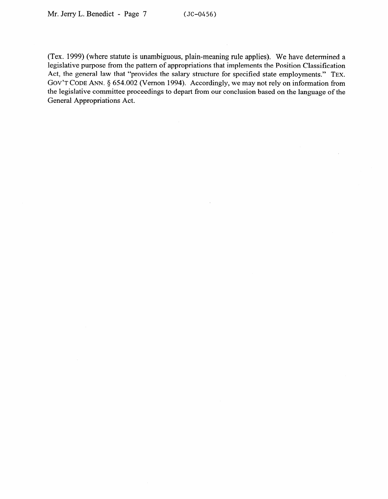(Tex. 1999) (where statute is unambiguous, plain-meaning rule applies). We have determined a legislative purpose from the pattern of appropriations that implements the Position Classification Act, the general law that "provides the salary structure for specified state employments." TEX. GOV'T CODE ANN. § 654.002 (Vernon 1994). Accordingly, we may not rely on information from the legislative committee proceedings to depart from our conclusion based on the language of the General Appropriations Act.